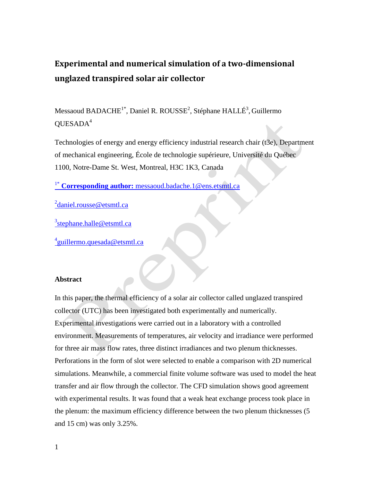# **Experimental and numerical simulation of a two-dimensional unglazed transpired solar air collector**

Messaoud BADACHE<sup>1\*</sup>, Daniel R. ROUSSE<sup>2</sup>, Stéphane HALLÉ<sup>3</sup>, Guillermo  $QUESADA<sup>4</sup>$ 

Technologies of energy and energy efficiency industrial research chair (t3e), Department of mechanical engineering, École de technologie supérieure, Université du Québec 1100, Notre-Dame St. West, Montreal, H3C 1K3, Canada

1\* **Corresponding author:** [messaoud.badache.1@ens.etsmtl.ca](mailto:1*%20Corresponding%20author:%20messaoud.badache.1@ens.etsmtl.ca)

<sup>2</sup>[daniel.rousse@etsmtl.ca](mailto:2daniel.rousse@etsmtl.ca)

<sup>3</sup>[stephane.halle@etsmtl.ca](mailto:3stephane.halle@etsmtl.ca)

<sup>4</sup>[guillermo.quesada@etsmtl.ca](mailto:4guillermo.quesada@etsmtl.ca)

### **Abstract**

In this paper, the thermal efficiency of a solar air collector called unglazed transpired collector (UTC) has been investigated both experimentally and numerically. Experimental investigations were carried out in a laboratory with a controlled environment. Measurements of temperatures, air velocity and irradiance were performed for three air mass flow rates, three distinct irradiances and two plenum thicknesses. Perforations in the form of slot were selected to enable a comparison with 2D numerical simulations. Meanwhile, a commercial finite volume software was used to model the heat transfer and air flow through the collector. The CFD simulation shows good agreement with experimental results. It was found that a weak heat exchange process took place in the plenum: the maximum efficiency difference between the two plenum thicknesses (5 and 15 cm) was only 3.25%.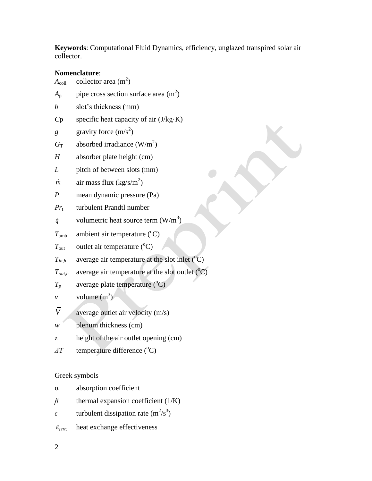**Keywords**: Computational Fluid Dynamics, efficiency, unglazed transpired solar air collector.

# **Nomenclature**:

| $A_{\rm coll}$   | collector area $(m2)$                                      |
|------------------|------------------------------------------------------------|
| $A_{\rm p}$      | pipe cross section surface area $(m2)$                     |
| b                | slot's thickness (mm)                                      |
| Cp               | specific heat capacity of air $(J/kg·K)$                   |
| g                | gravity force $(m/s^2)$                                    |
| $G_{\rm T}$      | absorbed irradiance $(W/m^2)$                              |
| $\boldsymbol{H}$ | absorber plate height (cm)                                 |
| L                | pitch of between slots (mm)                                |
| m                | air mass flux $(kg/s/m2)$                                  |
| $\overline{P}$   | mean dynamic pressure (Pa)                                 |
| $Pr_{t}$         | turbulent Prandtl number                                   |
| $\dot{q}$        | volumetric heat source term $(W/m^3)$                      |
| $T_{\rm amb}$    | ambient air temperature $({}^{\circ}C)$                    |
| $T_{\text{out}}$ | outlet air temperature $(^{\circ}C)$                       |
| $T_{in,h}$       | average air temperature at the slot inlet $({}^{\circ}C)$  |
| $T_{out,h}$      | average air temperature at the slot outlet $({}^{\circ}C)$ |
| $T_{\it p}$      | average plate temperature (°C)                             |
| ν                | volume $(m^3)$                                             |
| $\bar{V}$        | average outlet air velocity (m/s)                          |
| w                | plenum thickness (cm)                                      |
| Z.               | height of the air outlet opening (cm)                      |
| $\varDelta T$    | temperature difference (°C)                                |
|                  |                                                            |

Greek symbols

| α                          | absorption coefficient                 |
|----------------------------|----------------------------------------|
| $\beta$                    | thermal expansion coefficient $(1/K)$  |
| £.                         | turbulent dissipation rate $(m^2/s^3)$ |
| $\varepsilon_{\text{ITC}}$ | heat exchange effectiveness            |
|                            |                                        |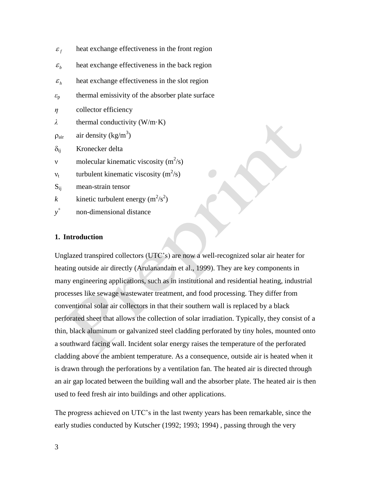| $\varepsilon_{f}$     | heat exchange effectiveness in the front region  |
|-----------------------|--------------------------------------------------|
| $\varepsilon_{h}$     | heat exchange effectiveness in the back region   |
| $\varepsilon_{h}$     | heat exchange effectiveness in the slot region   |
| $\varepsilon_{\rm p}$ | thermal emissivity of the absorber plate surface |
| $\eta$                | collector efficiency                             |
| λ                     | thermal conductivity $(W/m \cdot K)$             |
| $\rho_{\text{air}}$   | air density ( $\text{kg/m}^3$ )                  |
| $\delta_{ii}$         | Kronecker delta                                  |
| ν                     | molecular kinematic viscosity $(m^2/s)$          |
| $v_{t}$               | turbulent kinematic viscosity $(m^2/s)$          |
| $S_{ij}$              | mean-strain tensor                               |
| $\boldsymbol{k}$      | kinetic turbulent energy $(m^2/s^2)$             |
| $y^+$                 | non-dimensional distance                         |

# **1. Introduction**

Unglazed transpired collectors (UTC's) are now a well-recognized solar air heater for heating outside air directly (Arulanandam et al., 1999). They are key components in many engineering applications, such as in institutional and residential heating, industrial processes like sewage wastewater treatment, and food processing. They differ from conventional solar air collectors in that their southern wall is replaced by a black perforated sheet that allows the collection of solar irradiation. Typically, they consist of a thin, black aluminum or galvanized steel cladding perforated by tiny holes, mounted onto a southward facing wall. Incident solar energy raises the temperature of the perforated cladding above the ambient temperature. As a consequence, outside air is heated when it is drawn through the perforations by a ventilation fan. The heated air is directed through an air gap located between the building wall and the absorber plate. The heated air is then used to feed fresh air into buildings and other applications.

The progress achieved on UTC's in the last twenty years has been remarkable, since the early studies conducted by Kutscher (1992; 1993; 1994) , passing through the very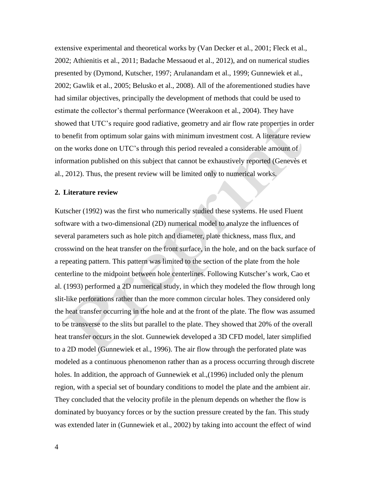extensive experimental and theoretical works by (Van Decker et al., 2001; Fleck et al., 2002; Athienitis et al., 2011; Badache Messaoud et al., 2012), and on numerical studies presented by (Dymond, Kutscher, 1997; Arulanandam et al., 1999; Gunnewiek et al., 2002; Gawlik et al., 2005; Belusko et al., 2008). All of the aforementioned studies have had similar objectives, principally the development of methods that could be used to estimate the collector's thermal performance (Weerakoon et al., 2004). They have showed that UTC's require good radiative, geometry and air flow rate properties in order to benefit from optimum solar gains with minimum investment cost. A literature review on the works done on UTC's through this period revealed a considerable amount of information published on this subject that cannot be exhaustively reported (Genevès et al., 2012). Thus, the present review will be limited only to numerical works.

#### **2. Literature review**

Kutscher (1992) was the first who numerically studied these systems. He used Fluent software with a two-dimensional (2D) numerical model to analyze the influences of several parameters such as hole pitch and diameter, plate thickness, mass flux, and crosswind on the heat transfer on the front surface, in the hole, and on the back surface of a repeating pattern. This pattern was limited to the section of the plate from the hole centerline to the midpoint between hole centerlines. Following Kutscher's work, Cao et al. (1993) performed a 2D numerical study, in which they modeled the flow through long slit-like perforations rather than the more common circular holes. They considered only the heat transfer occurring in the hole and at the front of the plate. The flow was assumed to be transverse to the slits but parallel to the plate. They showed that 20% of the overall heat transfer occurs in the slot. Gunnewiek developed a 3D CFD model, later simplified to a 2D model (Gunnewiek et al., 1996). The air flow through the perforated plate was modeled as a continuous phenomenon rather than as a process occurring through discrete holes. In addition, the approach of Gunnewiek et al.,(1996) included only the plenum region, with a special set of boundary conditions to model the plate and the ambient air. They concluded that the velocity profile in the plenum depends on whether the flow is dominated by buoyancy forces or by the suction pressure created by the fan. This study was extended later in (Gunnewiek et al., 2002) by taking into account the effect of wind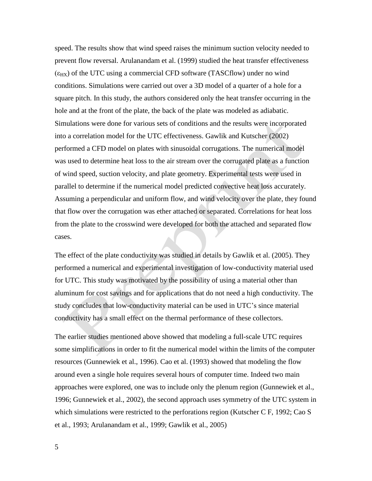speed. The results show that wind speed raises the minimum suction velocity needed to prevent flow reversal. Arulanandam et al. (1999) studied the heat transfer effectiveness  $(\epsilon_{HX})$  of the UTC using a commercial CFD software (TASCflow) under no wind conditions. Simulations were carried out over a 3D model of a quarter of a hole for a square pitch. In this study, the authors considered only the heat transfer occurring in the hole and at the front of the plate, the back of the plate was modeled as adiabatic. Simulations were done for various sets of conditions and the results were incorporated into a correlation model for the UTC effectiveness. Gawlik and Kutscher (2002) performed a CFD model on plates with sinusoidal corrugations. The numerical model was used to determine heat loss to the air stream over the corrugated plate as a function of wind speed, suction velocity, and plate geometry. Experimental tests were used in parallel to determine if the numerical model predicted convective heat loss accurately. Assuming a perpendicular and uniform flow, and wind velocity over the plate, they found that flow over the corrugation was ether attached or separated. Correlations for heat loss from the plate to the crosswind were developed for both the attached and separated flow cases.

The effect of the plate conductivity was studied in details by Gawlik et al. (2005). They performed a numerical and experimental investigation of low-conductivity material used for UTC. This study was motivated by the possibility of using a material other than aluminum for cost savings and for applications that do not need a high conductivity. The study concludes that low-conductivity material can be used in UTC's since material conductivity has a small effect on the thermal performance of these collectors.

The earlier studies mentioned above showed that modeling a full-scale UTC requires some simplifications in order to fit the numerical model within the limits of the computer resources (Gunnewiek et al., 1996). Cao et al. (1993) showed that modeling the flow around even a single hole requires several hours of computer time. Indeed two main approaches were explored, one was to include only the plenum region (Gunnewiek et al., 1996; Gunnewiek et al., 2002), the second approach uses symmetry of the UTC system in which simulations were restricted to the perforations region (Kutscher C F, 1992; Cao S et al., 1993; Arulanandam et al., 1999; Gawlik et al., 2005)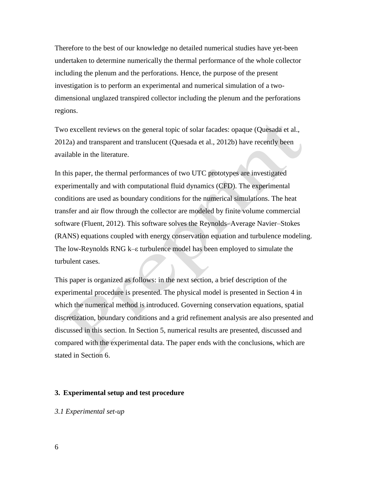Therefore to the best of our knowledge no detailed numerical studies have yet-been undertaken to determine numerically the thermal performance of the whole collector including the plenum and the perforations. Hence, the purpose of the present investigation is to perform an experimental and numerical simulation of a twodimensional unglazed transpired collector including the plenum and the perforations regions.

Two excellent reviews on the general topic of solar facades: opaque (Quesada et al., 2012a) and transparent and translucent (Quesada et al., 2012b) have recently been available in the literature.

In this paper, the thermal performances of two UTC prototypes are investigated experimentally and with computational fluid dynamics (CFD). The experimental conditions are used as boundary conditions for the numerical simulations. The heat transfer and air flow through the collector are modeled by finite volume commercial software (Fluent, 2012). This software solves the Reynolds–Average Navier–Stokes (RANS) equations coupled with energy conservation equation and turbulence modeling. The low-Reynolds RNG k–ε turbulence model has been employed to simulate the turbulent cases.

This paper is organized as follows: in the next section, a brief description of the experimental procedure is presented. The physical model is presented in Section 4 in which the numerical method is introduced. Governing conservation equations, spatial discretization, boundary conditions and a grid refinement analysis are also presented and discussed in this section. In Section 5, numerical results are presented, discussed and compared with the experimental data. The paper ends with the conclusions, which are stated in Section 6.

#### **3. Experimental setup and test procedure**

## *3.1 Experimental set-up*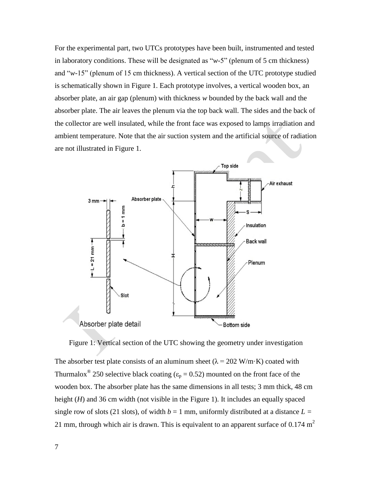For the experimental part, two UTCs prototypes have been built, instrumented and tested in laboratory conditions. These will be designated as "*w*-5" (plenum of 5 cm thickness) and "*w*-15" (plenum of 15 cm thickness). A vertical section of the UTC prototype studied is schematically shown in Figure 1. Each prototype involves, a vertical wooden box, an absorber plate, an air gap (plenum) with thickness *w* bounded by the back wall and the absorber plate. The air leaves the plenum via the top back wall. The sides and the back of the collector are well insulated, while the front face was exposed to lamps irradiation and ambient temperature. Note that the air suction system and the artificial source of radiation are not illustrated in Figure 1.



Figure 1: Vertical section of the UTC showing the geometry under investigation

The absorber test plate consists of an aluminum sheet ( $\lambda = 202$  W/m·K) coated with Thurmalox<sup>®</sup> 250 selective black coating ( $\varepsilon_p = 0.52$ ) mounted on the front face of the wooden box. The absorber plate has the same dimensions in all tests; 3 mm thick, 48 cm height (*H*) and 36 cm width (not visible in the Figure 1). It includes an equally spaced single row of slots (21 slots), of width  $b = 1$  mm, uniformly distributed at a distance  $L =$ 21 mm, through which air is drawn. This is equivalent to an apparent surface of 0.174  $m<sup>2</sup>$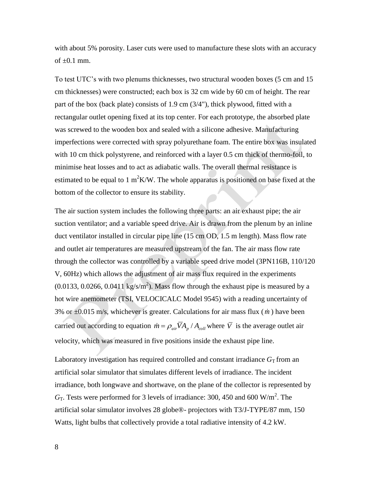with about 5% porosity. Laser cuts were used to manufacture these slots with an accuracy of  $\pm 0.1$  mm.

To test UTC's with two plenums thicknesses, two structural wooden boxes (5 cm and 15 cm thicknesses) were constructed; each box is 32 cm wide by 60 cm of height. The rear part of the box (back plate) consists of 1.9 cm (3/4"), thick plywood, fitted with a rectangular outlet opening fixed at its top center. For each prototype, the absorbed plate was screwed to the wooden box and sealed with a silicone adhesive. Manufacturing imperfections were corrected with spray polyurethane foam. The entire box was insulated with 10 cm thick polystyrene, and reinforced with a layer 0.5 cm thick of thermo-foil, to minimise heat losses and to act as adiabatic walls. The overall thermal resistance is estimated to be equal to 1 m<sup>2</sup>K/W. The whole apparatus is positioned on base fixed at the bottom of the collector to ensure its stability.

The air suction system includes the following three parts: an air exhaust pipe; the air suction ventilator; and a variable speed drive. Air is drawn from the plenum by an inline duct ventilator installed in circular pipe line (15 cm OD, 1.5 m length). Mass flow rate and outlet air temperatures are measured upstream of the fan. The air mass flow rate through the collector was controlled by a variable speed drive model (3PN116B, 110/120 V, 60Hz) which allows the adjustment of air mass flux required in the experiments  $(0.0133, 0.0266, 0.0411 \text{ kg/s/m}^2)$ . Mass flow through the exhaust pipe is measured by a hot wire anemometer (TSI, VELOCICALC Model 9545) with a reading uncertainty of 3% or ±0.015 m/s, whichever is greater. Calculations for air mass flux ( *m* ) have been carried out according to equation  $\dot{m} = \rho_{air} \overline{V} A_p / A_{coll}$  where  $\overline{V}$  is the average outlet air velocity, which was measured in five positions inside the exhaust pipe line.

Laboratory investigation has required controlled and constant irradiance  $G<sub>T</sub>$  from an artificial solar simulator that simulates different levels of irradiance. The incident irradiance, both longwave and shortwave, on the plane of the collector is represented by  $G_T$ . Tests were performed for 3 levels of irradiance: 300, 450 and 600 W/m<sup>2</sup>. The artificial solar simulator involves 28 globe®- projectors with T3/J-TYPE/87 mm, 150 Watts, light bulbs that collectively provide a total radiative intensity of 4.2 kW.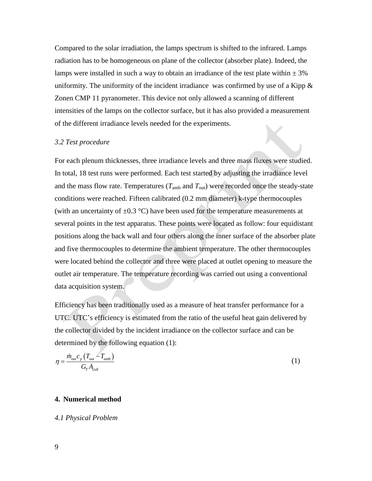Compared to the solar irradiation, the lamps spectrum is shifted to the infrared. Lamps radiation has to be homogeneous on plane of the collector (absorber plate). Indeed, the lamps were installed in such a way to obtain an irradiance of the test plate within  $\pm 3\%$ uniformity. The uniformity of the incident irradiance was confirmed by use of a Kipp  $\&$ Zonen CMP 11 pyranometer. This device not only allowed a scanning of different intensities of the lamps on the collector surface, but it has also provided a measurement of the different irradiance levels needed for the experiments.

#### *3.2 Test procedure*

For each plenum thicknesses, three irradiance levels and three mass fluxes were studied. In total, 18 test runs were performed. Each test started by adjusting the irradiance level and the mass flow rate. Temperatures  $(T_{amb}$  and  $T_{out}$ ) were recorded once the steady-state conditions were reached. Fifteen calibrated (0.2 mm diameter) k-type thermocouples (with an uncertainty of  $\pm 0.3$  °C) have been used for the temperature measurements at several points in the test apparatus. These points were located as follow: four equidistant positions along the back wall and four others along the inner surface of the absorber plate and five thermocouples to determine the ambient temperature. The other thermocouples were located behind the collector and three were placed at outlet opening to measure the outlet air temperature. The temperature recording was carried out using a conventional data acquisition system.

Efficiency has been traditionally used as a measure of heat transfer performance for a UTC. UTC's efficiency is estimated from the ratio of the useful heat gain delivered by the collector divided by the incident irradiance on the collector surface and can be determined by the following equation (1):

$$
\eta = \frac{\dot{m}_{out}c_p \left( T_{out} - T_{amb} \right)}{G_r A_{coll}}
$$
\n
$$
\tag{1}
$$

### **4. Numerical method**

#### *4.1 Physical Problem*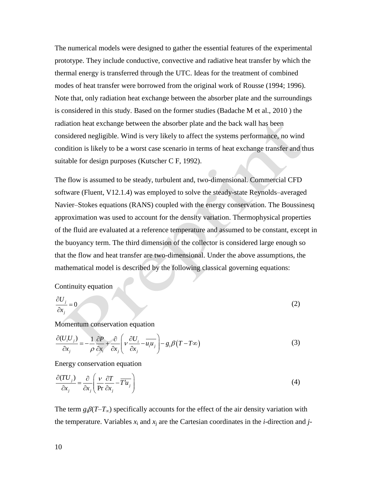The numerical models were designed to gather the essential features of the experimental prototype. They include conductive, convective and radiative heat transfer by which the thermal energy is transferred through the UTC. Ideas for the treatment of combined modes of heat transfer were borrowed from the original work of Rousse (1994; 1996). Note that, only radiation heat exchange between the absorber plate and the surroundings is considered in this study. Based on the former studies (Badache M et al., 2010 ) the radiation heat exchange between the absorber plate and the back wall has been considered negligible. Wind is very likely to affect the systems performance, no wind condition is likely to be a worst case scenario in terms of heat exchange transfer and thus suitable for design purposes (Kutscher C F, 1992).

The flow is assumed to be steady, turbulent and, two-dimensional. Commercial CFD software (Fluent, V12.1.4) was employed to solve the steady-state Reynolds–averaged Navier–Stokes equations (RANS) coupled with the energy conservation. The Boussinesq approximation was used to account for the density variation. Thermophysical properties of the fluid are evaluated at a reference temperature and assumed to be constant, except in the buoyancy term. The third dimension of the collector is considered large enough so that the flow and heat transfer are two-dimensional. Under the above assumptions, the mathematical model is described by the following classical governing equations:

### Continuity equation

$$
\frac{\partial U_j}{\partial x_j} = 0 \tag{2}
$$

Momentum conservation equation  
\n
$$
\frac{\partial (U_i U_j)}{\partial x_j} = -\frac{1}{\rho} \frac{\partial P}{\partial x_i} + \frac{\partial}{\partial x_j} \left( v \frac{\partial U_i}{\partial x_j} - \overline{u_i u_j} \right) - g_i \beta (T - T\infty)
$$
\n(3)

Energy conservation equation

$$
\frac{\partial (TU_j)}{\partial x_j} = \frac{\partial}{\partial x_j} \left( \frac{v}{\text{Pr}} \frac{\partial T}{\partial x_j} - \overline{T'u_j} \right)
$$
(4)

The term  $g_i\beta(T-T_\infty)$  specifically accounts for the effect of the air density variation with the temperature. Variables  $x_i$  and  $x_j$  are the Cartesian coordinates in the *i*-direction and *j*-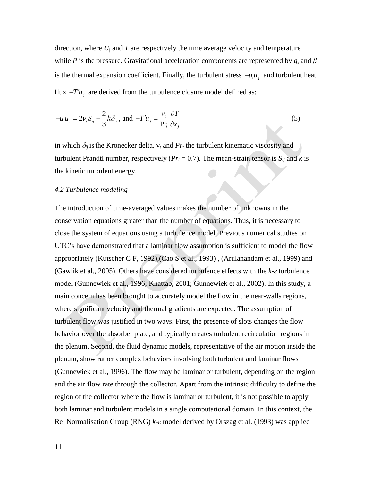direction, where *U*<sup>j</sup> and *T* are respectively the time average velocity and temperature while *P* is the pressure. Gravitational acceleration components are represented by *g*<sup>i</sup> and *β* is the thermal expansion coefficient. Finally, the turbulent stress  $-u_i u_j$  and turbulent heat flux  $-T'u_j$  are derived from the turbulence closure model defined as:

$$
-\overline{u_i u_j} = 2v_i S_{ij} - \frac{2}{3}k\delta_{ij}, \text{ and } -\overline{T'u_j} = \frac{v_t}{\text{Pr}_i} \frac{\partial T}{\partial x_j}
$$
(5)

in which  $\delta_{ij}$  is the Kronecker delta,  $v_t$  and  $Pr_t$  the turbulent kinematic viscosity and turbulent Prandtl number, respectively ( $Pr<sub>t</sub> = 0.7$ ). The mean-strain tensor is  $S<sub>ij</sub>$  and *k* is the kinetic turbulent energy.

#### *4.2 Turbulence modeling*

The introduction of time-averaged values makes the number of unknowns in the conservation equations greater than the number of equations. Thus, it is necessary to close the system of equations using a turbulence model. Previous numerical studies on UTC's have demonstrated that a laminar flow assumption is sufficient to model the flow appropriately (Kutscher C F, 1992),(Cao S et al., 1993) , (Arulanandam et al., 1999) and (Gawlik et al., 2005). Others have considered turbulence effects with the *k-ε* turbulence model (Gunnewiek et al., 1996; Khattab, 2001; Gunnewiek et al., 2002). In this study, a main concern has been brought to accurately model the flow in the near-walls regions, where significant velocity and thermal gradients are expected. The assumption of turbulent flow was justified in two ways. First, the presence of slots changes the flow behavior over the absorber plate, and typically creates turbulent recirculation regions in the plenum. Second, the fluid dynamic models, representative of the air motion inside the plenum, show rather complex behaviors involving both turbulent and laminar flows (Gunnewiek et al., 1996). The flow may be laminar or turbulent, depending on the region and the air flow rate through the collector. Apart from the intrinsic difficulty to define the region of the collector where the flow is laminar or turbulent, it is not possible to apply both laminar and turbulent models in a single computational domain. In this context, the Re–Normalisation Group (RNG) *k-ε* model derived by Orszag et al. (1993) was applied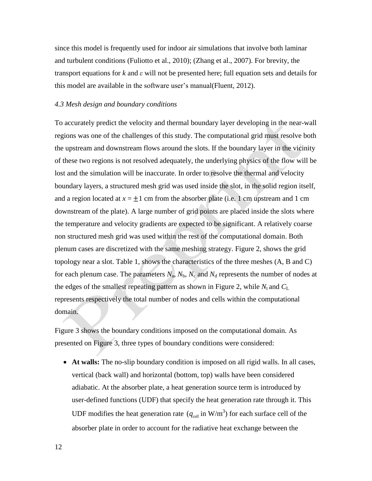since this model is frequently used for indoor air simulations that involve both laminar and turbulent conditions (Fuliotto et al., 2010); (Zhang et al., 2007). For brevity, the transport equations for *k* and *ε* will not be presented here; full equation sets and details for this model are available in the software user's manual(Fluent, 2012).

## *4.3 Mesh design and boundary conditions*

To accurately predict the velocity and thermal boundary layer developing in the near-wall regions was one of the challenges of this study. The computational grid must resolve both the upstream and downstream flows around the slots. If the boundary layer in the vicinity of these two regions is not resolved adequately, the underlying physics of the flow will be lost and the simulation will be inaccurate. In order to resolve the thermal and velocity boundary layers, a structured mesh grid was used inside the slot, in the solid region itself, and a region located at  $x = \pm 1$  cm from the absorber plate (i.e. 1 cm upstream and 1 cm downstream of the plate). A large number of grid points are placed inside the slots where the temperature and velocity gradients are expected to be significant. A relatively coarse non structured mesh grid was used within the rest of the computational domain. Both plenum cases are discretized with the same meshing strategy. Figure 2, shows the grid topology near a slot. Table 1, shows the characteristics of the three meshes (A, B and C) for each plenum case. The parameters  $N_a$ ,  $N_b$ ,  $N_c$  and  $N_d$  represents the number of nodes at the edges of the smallest repeating pattern as shown in Figure 2, while  $N_t$  and  $C_L$ represents respectively the total number of nodes and cells within the computational domain.

Figure 3 shows the boundary conditions imposed on the computational domain. As presented on Figure 3, three types of boundary conditions were considered:

 **At walls:** The no-slip boundary condition is imposed on all rigid walls. In all cases, vertical (back wall) and horizontal (bottom, top) walls have been considered adiabatic. At the absorber plate, a heat generation source term is introduced by user-defined functions (UDF) that specify the heat generation rate through it. This UDF modifies the heat generation rate  $(q_{cell} \text{ in } W/m^3)$  for each surface cell of the absorber plate in order to account for the radiative heat exchange between the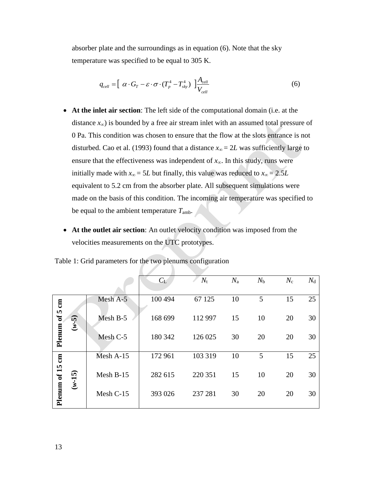absorber plate and the surroundings as in equation (6). Note that the sky temperature was specified to be equal to 305 K.

$$
q_{cell} = \left[ \ \alpha \cdot G_T - \varepsilon \cdot \sigma \cdot (T_p^4 - T_{sky}^4) \ \right] \frac{A_{cell}}{V_{cell}} \tag{6}
$$

- **At the inlet air section**: The left side of the computational domain (i.e. at the distance *x∞*) is bounded by a free air stream inlet with an assumed total pressure of 0 Pa. This condition was chosen to ensure that the flow at the slots entrance is not disturbed. Cao et al. (1993) found that a distance  $x_\infty = 2L$  was sufficiently large to ensure that the effectiveness was independent of *x∞*. In this study, runs were initially made with  $x_\infty = 5L$  but finally, this value was reduced to  $x_\infty = 2.5L$ equivalent to 5.2 cm from the absorber plate. All subsequent simulations were made on the basis of this condition. The incoming air temperature was specified to be equal to the ambient temperature *T*amb.
- **At the outlet air section**: An outlet velocity condition was imposed from the velocities measurements on the UTC prototypes.

|                 |           |                     | $C_{\rm L}$ | $N_{\rm t}$ | $N_{\rm a}$ | $N_{\rm b}$ | $N_c$ | $N_{\rm d}$ |
|-----------------|-----------|---------------------|-------------|-------------|-------------|-------------|-------|-------------|
| $5 \text{ cm}$  |           | Mesh A-5            | 100 494     | 67 125      | 10          | 5           | 15    | 25          |
| $\mathbf{f}$    | $(6 - 4)$ | Mesh B-5            | 168 699     | 112 997     | 15          | 10          | 20    | 30          |
| Plenum          |           | Mesh <sub>C-5</sub> | 180 342     | 126 025     | 30          | 20          | 20    | 30          |
|                 |           | Mesh A-15           | 172 961     | 103 319     | 10          | 5           | 15    | 25          |
| Plenum of 15 cm | $(w-15)$  | Mesh B-15           | 282 615     | 220 351     | 15          | 10          | 20    | 30          |
|                 |           | Mesh C-15           | 393 026     | 237 281     | 30          | 20          | 20    | 30          |

Table 1: Grid parameters for the two plenums configuration  $\sqrt{2}$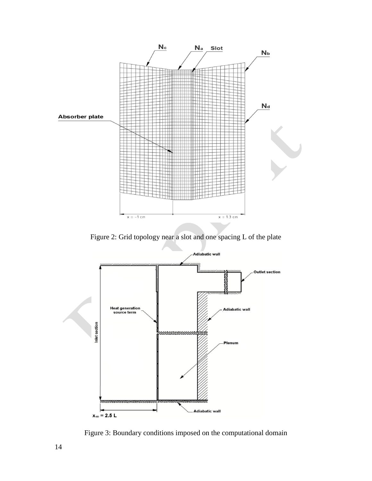

Figure 2: Grid topology near a slot and one spacing L of the plate



Figure 3: Boundary conditions imposed on the computational domain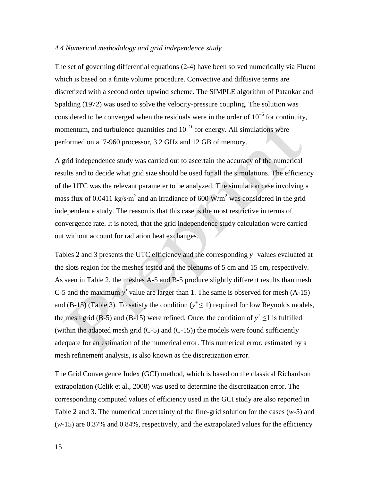## *4.4 Numerical methodology and grid independence study*

The set of governing differential equations (2-4) have been solved numerically via Fluent which is based on a finite volume procedure. Convective and diffusive terms are discretized with a second order upwind scheme. The SIMPLE algorithm of Patankar and Spalding (1972) was used to solve the velocity-pressure coupling. The solution was considered to be converged when the residuals were in the order of  $10^{-6}$  for continuity, momentum, and turbulence quantities and  $10^{-10}$  for energy. All simulations were performed on a i7-960 processor, 3.2 GHz and 12 GB of memory.

A grid independence study was carried out to ascertain the accuracy of the numerical results and to decide what grid size should be used for all the simulations. The efficiency of the UTC was the relevant parameter to be analyzed. The simulation case involving a mass flux of 0.0411 kg/s⋅m<sup>2</sup> and an irradiance of 600 W/m<sup>2</sup> was considered in the grid independence study. The reason is that this case is the most restrictive in terms of convergence rate. It is noted, that the grid independence study calculation were carried out without account for radiation heat exchanges.

Tables 2 and 3 presents the UTC efficiency and the corresponding  $y^+$  values evaluated at the slots region for the meshes tested and the plenums of 5 cm and 15 cm, respectively. As seen in Table 2, the meshes A-5 and B-5 produce slightly different results than mesh C-5 and the maximum  $y^+$  value are larger than 1. The same is observed for mesh  $(A-15)$ and (B-15) (Table 3). To satisfy the condition ( $y^+ \le 1$ ) required for low Reynolds models, the mesh grid (B-5) and (B-15) were refined. Once, the condition of  $y^+ \le 1$  is fulfilled (within the adapted mesh grid  $(C-5)$  and  $(C-15)$ ) the models were found sufficiently adequate for an estimation of the numerical error. This numerical error, estimated by a mesh refinement analysis, is also known as the discretization error.

The Grid Convergence Index (GCI) method, which is based on the classical Richardson extrapolation (Celik et al., 2008) was used to determine the discretization error. The corresponding computed values of efficiency used in the GCI study are also reported in Table 2 and 3. The numerical uncertainty of the fine-grid solution for the cases (*w*-5) and  $(w-15)$  are 0.37% and 0.84%, respectively, and the extrapolated values for the efficiency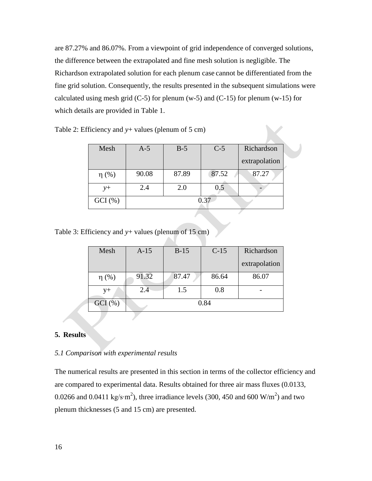are 87.27% and 86.07%. From a viewpoint of grid independence of converged solutions, the difference between the extrapolated and fine mesh solution is negligible. The Richardson extrapolated solution for each plenum case cannot be differentiated from the fine grid solution. Consequently, the results presented in the subsequent simulations were calculated using mesh grid  $(C-5)$  for plenum  $(w-5)$  and  $(C-15)$  for plenum  $(w-15)$  for which details are provided in Table 1.

| Mesh       | $A-5$ | $B-5$ | $C-5$ | Richardson    |  |  |
|------------|-------|-------|-------|---------------|--|--|
|            |       |       |       | extrapolation |  |  |
| $\eta$ (%) | 90.08 | 87.89 | 87.52 | 87.27         |  |  |
| $y+$       | 2.4   | 2.0   | 0.5   |               |  |  |
| $GCI(\% )$ | 0.37  |       |       |               |  |  |

Table 2: Efficiency and  $y$ + values (plenum of 5 cm)

Table 3: Efficiency and *y*+ values (plenum of 15 cm)

| Mesh       | $A-15$ | $B-15$ | $C-15$ | Richardson    |  |  |
|------------|--------|--------|--------|---------------|--|--|
|            |        |        |        | extrapolation |  |  |
| $\eta$ (%) | 91.32  | 87.47  | 86.64  | 86.07         |  |  |
| 2.4<br>y+  |        | 1.5    | 0.8    |               |  |  |
| $GCI(\% )$ | 0.84   |        |        |               |  |  |

# **5. Results**

#### *5.1 Comparison with experimental results*

The numerical results are presented in this section in terms of the collector efficiency and are compared to experimental data. Results obtained for three air mass fluxes (0.0133, 0.0266 and 0.0411 kg/s⋅m<sup>2</sup>), three irradiance levels (300, 450 and 600 W/m<sup>2</sup>) and two plenum thicknesses (5 and 15 cm) are presented.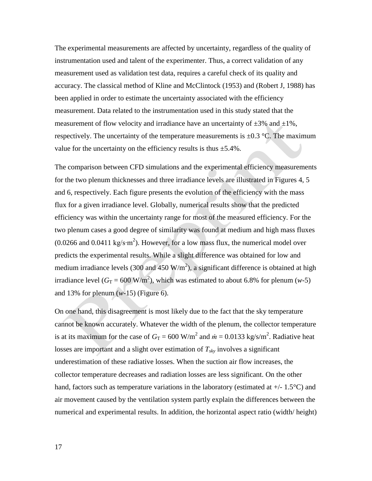The experimental measurements are affected by uncertainty, regardless of the quality of instrumentation used and talent of the experimenter. Thus, a correct validation of any measurement used as validation test data, requires a careful check of its quality and accuracy. The classical method of Kline and McClintock (1953) and (Robert J, 1988) has been applied in order to estimate the uncertainty associated with the efficiency measurement. Data related to the instrumentation used in this study stated that the measurement of flow velocity and irradiance have an uncertainty of  $\pm 3\%$  and  $\pm 1\%$ , respectively. The uncertainty of the temperature measurements is  $\pm 0.3$  °C. The maximum value for the uncertainty on the efficiency results is thus  $\pm$ 5.4%.

The comparison between CFD simulations and the experimental efficiency measurements for the two plenum thicknesses and three irradiance levels are illustrated in Figures 4, 5 and 6, respectively. Each figure presents the evolution of the efficiency with the mass flux for a given irradiance level. Globally, numerical results show that the predicted efficiency was within the uncertainty range for most of the measured efficiency. For the two plenum cases a good degree of similarity was found at medium and high mass fluxes  $(0.0266$  and  $0.0411 \text{ kg/s}·m^2)$ . However, for a low mass flux, the numerical model over predicts the experimental results. While a slight difference was obtained for low and medium irradiance levels (300 and 450  $W/m<sup>2</sup>$ ), a significant difference is obtained at high irradiance level ( $G_T = 600 \text{ W/m}^2$ ), which was estimated to about 6.8% for plenum (*w*-5) and 13% for plenum (*w*-15) (Figure 6).

On one hand, this disagreement is most likely due to the fact that the sky temperature cannot be known accurately. Whatever the width of the plenum, the collector temperature is at its maximum for the case of  $G_T = 600 \text{ W/m}^2$  and  $\dot{m} = 0.0133 \text{ kg/s/m}^2$ . Radiative heat losses are important and a slight over estimation of *Tsky* involves a significant underestimation of these radiative losses. When the suction air flow increases, the collector temperature decreases and radiation losses are less significant. On the other hand, factors such as temperature variations in the laboratory (estimated at  $+/- 1.5^{\circ}$ C) and air movement caused by the ventilation system partly explain the differences between the numerical and experimental results. In addition, the horizontal aspect ratio (width/ height)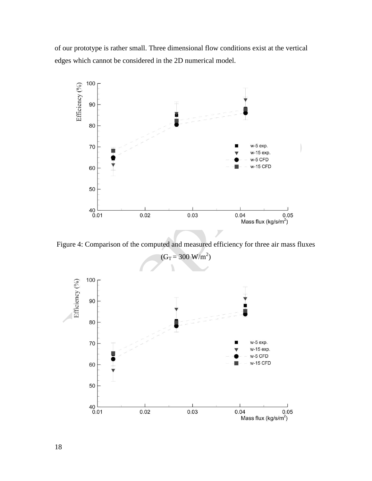of our prototype is rather small. Three dimensional flow conditions exist at the vertical edges which cannot be considered in the 2D numerical model.



Figure 4: Comparison of the computed and measured efficiency for three air mass fluxes



18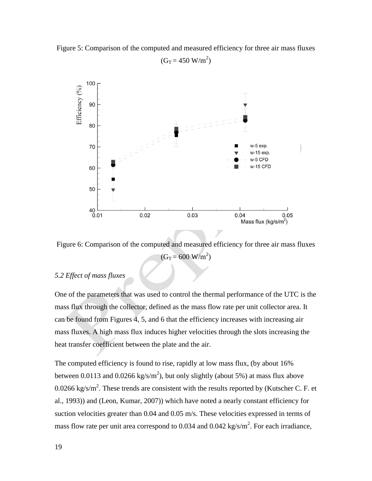

$$
(G_T = 450 \text{ W/m}^2)
$$



Figure 6: Comparison of the computed and measured efficiency for three air mass fluxes  $(G_T = 600 \text{ W/m}^2)$ 

# *5.2 Effect of mass fluxes*

One of the parameters that was used to control the thermal performance of the UTC is the mass flux through the collector, defined as the mass flow rate per unit collector area. It can be found from Figures 4, 5, and 6 that the efficiency increases with increasing air mass fluxes. A high mass flux induces higher velocities through the slots increasing the heat transfer coefficient between the plate and the air.

The computed efficiency is found to rise, rapidly at low mass flux, (by about 16% between 0.0113 and 0.0266 kg/s/m<sup>2</sup>), but only slightly (about 5%) at mass flux above 0.0266 kg/s/m<sup>2</sup>. These trends are consistent with the results reported by (Kutscher C. F. et al., 1993)) and (Leon, Kumar, 2007)) which have noted a nearly constant efficiency for suction velocities greater than 0.04 and 0.05 m/s. These velocities expressed in terms of mass flow rate per unit area correspond to 0.034 and 0.042 kg/s/ $m^2$ . For each irradiance,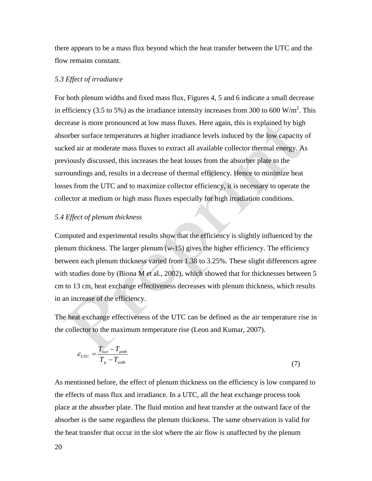there appears to be a mass flux beyond which the heat transfer between the UTC and the flow remains constant.

### *5.3 Effect of irradiance*

For both plenum widths and fixed mass flux, Figures 4, 5 and 6 indicate a small decrease in efficiency (3.5 to 5%) as the irradiance intensity increases from 300 to 600 W/m<sup>2</sup>. This decrease is more pronounced at low mass fluxes. Here again, this is explained by high absorber surface temperatures at higher irradiance levels induced by the low capacity of sucked air at moderate mass fluxes to extract all available collector thermal energy. As previously discussed, this increases the heat losses from the absorber plate to the surroundings and, results in a decrease of thermal efficiency. Hence to minimize heat losses from the UTC and to maximize collector efficiency, it is necessary to operate the collector at medium or high mass fluxes especially for high irradiation conditions.

## *5.4 Effect of plenum thickness*

Computed and experimental results show that the efficiency is slightly influenced by the plenum thickness. The larger plenum  $(w-15)$  gives the higher efficiency. The efficiency between each plenum thickness varied from 1.38 to 3.25%. These slight differences agree with studies done by (Biona M et al., 2002), which showed that for thicknesses between 5 cm to 13 cm, heat exchange effectiveness decreases with plenum thickness, which results in an increase of the efficiency.

The heat exchange effectiveness of the UTC can be defined as the air temperature rise in the collector to the maximum temperature rise (Leon and Kumar, 2007).

$$
\varepsilon_{UTC} = \frac{T_{out} - T_{amb}}{T_p - T_{amb}}
$$
\n(7)

As mentioned before, the effect of plenum thickness on the efficiency is low compared to the effects of mass flux and irradiance. In a UTC, all the heat exchange process took place at the absorber plate. The fluid motion and heat transfer at the outward face of the absorber is the same regardless the plenum thickness. The same observation is valid for the heat transfer that occur in the slot where the air flow is unaffected by the plenum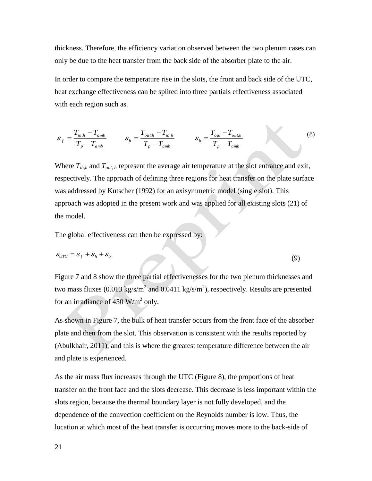thickness. Therefore, the efficiency variation observed between the two plenum cases can only be due to the heat transfer from the back side of the absorber plate to the air.

In order to compare the temperature rise in the slots, the front and back side of the UTC, heat exchange effectiveness can be splited into three partials effectiveness associated with each region such as.

$$
\varepsilon_f = \frac{T_{in,h} - T_{amb}}{T_p - T_{amb}} \qquad \varepsilon_h = \frac{T_{out,h} - T_{in,h}}{T_p - T_{amb}} \qquad \varepsilon_b = \frac{T_{out} - T_{out,h}}{T_p - T_{amb}}
$$
(8)

Where  $T_{ih,h}$  and  $T_{out,h}$  represent the average air temperature at the slot entrance and exit, respectively. The approach of defining three regions for heat transfer on the plate surface was addressed by Kutscher (1992) for an axisymmetric model (single slot). This approach was adopted in the present work and was applied for all existing slots (21) of the model.

The global effectiveness can then be expressed by:

$$
\varepsilon_{\text{UTC}} = \varepsilon_f + \varepsilon_h + \varepsilon_b \tag{9}
$$

Figure 7 and 8 show the three partial effectivenesses for the two plenum thicknesses and two mass fluxes (0.013 kg/s/m<sup>2</sup> and 0.0411 kg/s/m<sup>2</sup>), respectively. Results are presented for an irradiance of 450  $W/m^2$  only.

As shown in Figure 7, the bulk of heat transfer occurs from the front face of the absorber plate and then from the slot. This observation is consistent with the results reported by (Abulkhair, 2011), and this is where the greatest temperature difference between the air and plate is experienced.

As the air mass flux increases through the UTC (Figure 8), the proportions of heat transfer on the front face and the slots decrease. This decrease is less important within the slots region, because the thermal boundary layer is not fully developed, and the dependence of the convection coefficient on the Reynolds number is low. Thus, the location at which most of the heat transfer is occurring moves more to the back-side of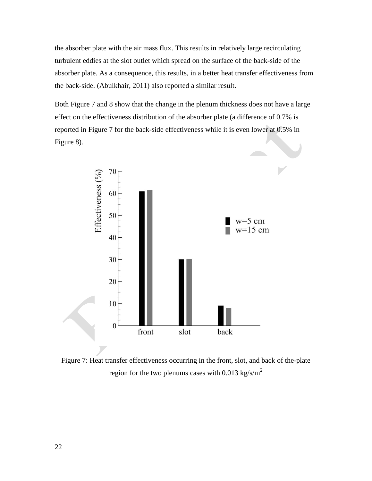the absorber plate with the air mass flux. This results in relatively large recirculating turbulent eddies at the slot outlet which spread on the surface of the back-side of the absorber plate. As a consequence, this results, in a better heat transfer effectiveness from the back-side. (Abulkhair, 2011) also reported a similar result.

Both Figure 7 and 8 show that the change in the plenum thickness does not have a large effect on the effectiveness distribution of the absorber plate (a difference of 0.7% is reported in Figure 7 for the back-side effectiveness while it is even lower at 0.5% in Figure 8).



Figure 7: Heat transfer effectiveness occurring in the front, slot, and back of the-plate region for the two plenums cases with 0.013 kg/s/m<sup>2</sup>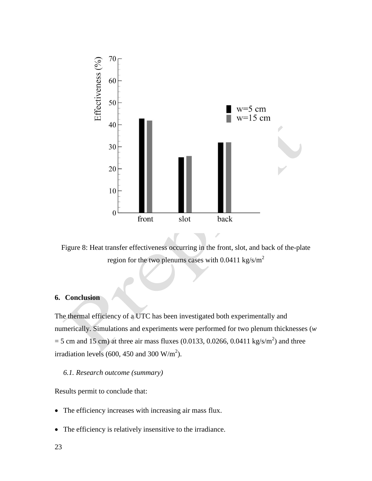

Figure 8: Heat transfer effectiveness occurring in the front, slot, and back of the-plate region for the two plenums cases with  $0.0411 \text{ kg/s/m}^2$ 

# **6. Conclusion**

The thermal efficiency of a UTC has been investigated both experimentally and numerically. Simulations and experiments were performed for two plenum thicknesses (*w*  $=$  5 cm and 15 cm) at three air mass fluxes (0.0133, 0.0266, 0.0411 kg/s/m<sup>2</sup>) and three irradiation levels (600, 450 and 300  $W/m<sup>2</sup>$ ).

## *6.1. Research outcome (summary)*

Results permit to conclude that:

- The efficiency increases with increasing air mass flux.
- The efficiency is relatively insensitive to the irradiance.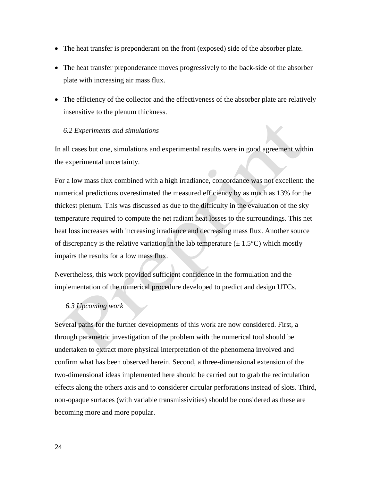- The heat transfer is preponderant on the front (exposed) side of the absorber plate.
- The heat transfer preponderance moves progressively to the back-side of the absorber plate with increasing air mass flux.
- The efficiency of the collector and the effectiveness of the absorber plate are relatively insensitive to the plenum thickness.

## *6.2 Experiments and simulations*

In all cases but one, simulations and experimental results were in good agreement within the experimental uncertainty.

For a low mass flux combined with a high irradiance, concordance was not excellent: the numerical predictions overestimated the measured efficiency by as much as 13% for the thickest plenum. This was discussed as due to the difficulty in the evaluation of the sky temperature required to compute the net radiant heat losses to the surroundings. This net heat loss increases with increasing irradiance and decreasing mass flux. Another source of discrepancy is the relative variation in the lab temperature  $(\pm 1.5^{\circ}C)$  which mostly impairs the results for a low mass flux.

Nevertheless, this work provided sufficient confidence in the formulation and the implementation of the numerical procedure developed to predict and design UTCs.

## *6.3 Upcoming work*

Several paths for the further developments of this work are now considered. First, a through parametric investigation of the problem with the numerical tool should be undertaken to extract more physical interpretation of the phenomena involved and confirm what has been observed herein. Second, a three-dimensional extension of the two-dimensional ideas implemented here should be carried out to grab the recirculation effects along the others axis and to considerer circular perforations instead of slots. Third, non-opaque surfaces (with variable transmissivities) should be considered as these are becoming more and more popular.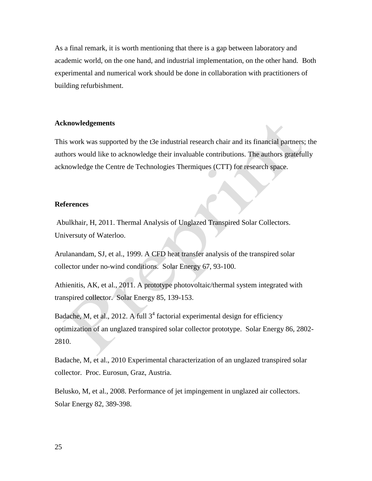As a final remark, it is worth mentioning that there is a gap between laboratory and academic world, on the one hand, and industrial implementation, on the other hand. Both experimental and numerical work should be done in collaboration with practitioners of building refurbishment.

## **Acknowledgements**

This work was supported by the t3e industrial research chair and its financial partners; the authors would like to acknowledge their invaluable contributions. The authors gratefully acknowledge the Centre de Technologies Thermiques (CTT) for research space.

## **References**

Abulkhair, H, 2011. Thermal Analysis of Unglazed Transpired Solar Collectors. Universuty of Waterloo.

Arulanandam, SJ, et al., 1999. A CFD heat transfer analysis of the transpired solar collector under no-wind conditions. Solar Energy 67, 93-100.

Athienitis, AK, et al., 2011. A prototype photovoltaic/thermal system integrated with transpired collector. Solar Energy 85, 139-153.

Badache, M, et al., 2012. A full  $3<sup>4</sup>$  factorial experimental design for efficiency optimization of an unglazed transpired solar collector prototype. Solar Energy 86, 2802- 2810.

Badache, M, et al., 2010 Experimental characterization of an unglazed transpired solar collector. Proc. Eurosun, Graz, Austria.

Belusko, M, et al., 2008. Performance of jet impingement in unglazed air collectors. Solar Energy 82, 389-398.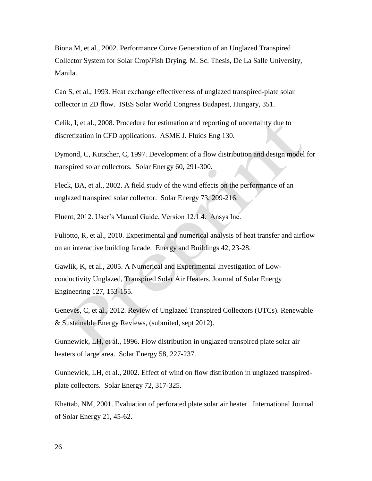Biona M, et al., 2002. Performance Curve Generation of an Unglazed Transpired Collector System for Solar Crop/Fish Drying. M. Sc. Thesis, De La Salle University, Manila.

Cao S, et al., 1993. Heat exchange effectiveness of unglazed transpired-plate solar collector in 2D flow. ISES Solar World Congress Budapest, Hungary, 351.

Celik, I, et al., 2008. Procedure for estimation and reporting of uncertainty due to discretization in CFD applications. ASME J. Fluids Eng 130.

Dymond, C, Kutscher, C, 1997. Development of a flow distribution and design model for transpired solar collectors. Solar Energy 60, 291-300.

Fleck, BA, et al., 2002. A field study of the wind effects on the performance of an unglazed transpired solar collector. Solar Energy 73, 209-216.

Fluent, 2012. User's Manual Guide, Version 12.1.4. Ansys Inc.

Fuliotto, R, et al., 2010. Experimental and numerical analysis of heat transfer and airflow on an interactive building facade. Energy and Buildings 42, 23-28.

Gawlik, K, et al., 2005. A Numerical and Experimental Investigation of Lowconductivity Unglazed, Transpired Solar Air Heaters. Journal of Solar Energy Engineering 127, 153-155.

Genevès, C, et al., 2012. Review of Unglazed Transpired Collectors (UTCs). Renewable & Sustainable Energy Reviews, (submited, sept 2012).

Gunnewiek, LH, et al., 1996. Flow distribution in unglazed transpired plate solar air heaters of large area. Solar Energy 58, 227-237.

Gunnewiek, LH, et al., 2002. Effect of wind on flow distribution in unglazed transpiredplate collectors. Solar Energy 72, 317-325.

Khattab, NM, 2001. Evaluation of perforated plate solar air heater. International Journal of Solar Energy 21, 45-62.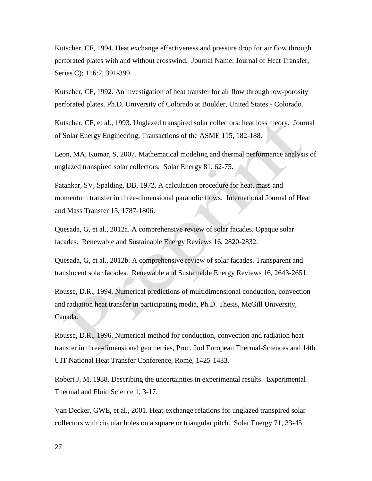Kutscher, CF, 1994. Heat exchange effectiveness and pressure drop for air flow through perforated plates with and without crosswind. Journal Name: Journal of Heat Transfer, Series C); 116:2, 391-399.

Kutscher, CF, 1992. An investigation of heat transfer for air flow through low-porosity perforated plates. Ph.D. University of Colorado at Boulder, United States - Colorado.

Kutscher, CF, et al., 1993. Unglazed transpired solar collectors: heat loss theory. Journal of Solar Energy Engineering, Transactions of the ASME 115, 182-188.

Leon, MA, Kumar, S, 2007. Mathematical modeling and thermal performance analysis of unglazed transpired solar collectors. Solar Energy 81, 62-75.

Patankar, SV, Spalding, DB, 1972. A calculation procedure for heat, mass and momentum transfer in three-dimensional parabolic flows. International Journal of Heat and Mass Transfer 15, 1787-1806.

Quesada, G, et al., 2012a. A comprehensive review of solar facades. Opaque solar facades. Renewable and Sustainable Energy Reviews 16, 2820-2832.

Quesada, G, et al., 2012b. A comprehensive review of solar facades. Transparent and translucent solar facades. Renewable and Sustainable Energy Reviews 16, 2643-2651.

Rousse, D.R., 1994, Numerical predictions of multidimensional conduction, convection and radiation heat transfer in participating media, Ph.D. Thesis, McGill University, Canada.

Rousse, D.R., 1996, Numerical method for conduction, convection and radiation heat transfer in three-dimensional geometries, Proc. 2nd European Thermal-Sciences and 14th UIT National Heat Transfer Conference, Rome, 1425-1433.

Robert J, M, 1988. Describing the uncertainties in experimental results. Experimental Thermal and Fluid Science 1, 3-17.

Van Decker, GWE, et al., 2001. Heat-exchange relations for unglazed transpired solar collectors with circular holes on a square or triangular pitch. Solar Energy 71, 33-45.